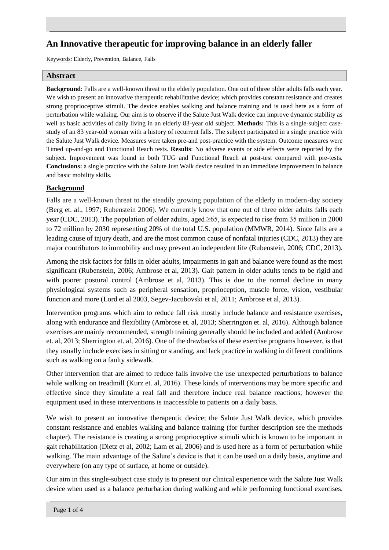# **An Innovative therapeutic for improving balance in an elderly faller**

Keywords: Elderly, Prevention, Balance, Falls

#### **Abstract**

**Background**: Falls are a well-known threat to the elderly population. One out of three older adults falls each year. We wish to present an innovative therapeutic rehabilitative device; which provides constant resistance and creates strong proprioceptive stimuli. The device enables walking and balance training and is used here as a form of perturbation while walking. Our aim is to observe if the Salute Just Walk device can improve dynamic stability as well as basic activities of daily living in an elderly 83-year old subject. **Methods:** This is a single-subject casestudy of an 83 year-old woman with a history of recurrent falls. The subject participated in a single practice with the Salute Just Walk device. Measures were taken pre-and post-practice with the system. Outcome measures were Timed up-and-go and Functional Reach tests. **Results**: No adverse events or side effects were reported by the subject. Improvement was found in both TUG and Functional Reach at post-test compared with pre-tests. **Conclusions:** a single practice with the Salute Just Walk device resulted in an immediate improvement in balance and basic mobility skills.

# **Background**

Falls are a well-known threat to the steadily growing population of the elderly in modern-day society (Berg et. al., 1997; Rubenstein 2006). We currently know that one out of three older adults falls each year (CDC, 2013). The population of older adults, aged ≥65, is expected to rise from 35 million in 2000 to 72 million by 2030 representing 20% of the total U.S. population (MMWR, 2014). Since falls are a leading cause of injury death, and are the most common cause of nonfatal injuries (CDC, 2013) they are major contributors to immobility and may prevent an independent life (Rubenstein, 2006; CDC, 2013).

Among the risk factors for falls in older adults, impairments in gait and balance were found as the most significant (Rubenstein, 2006; Ambrose et al, 2013). Gait pattern in older adults tends to be rigid and with poorer postural control (Ambrose et al, 2013). This is due to the normal decline in many physiological systems such as peripheral sensation, proprioception, muscle force, vision, vestibular function and more (Lord et al 2003, Segev-Jacubovski et al, 2011; Ambrose et al, 2013).

Intervention programs which aim to reduce fall risk mostly include balance and resistance exercises, along with endurance and flexibility (Ambrose et. al, 2013; Sherrington et. al, 2016). Although balance exercises are mainly recommended, strength training generally should be included and added (Ambrose et. al, 2013; Sherrington et. al, 2016). One of the drawbacks of these exercise programs however, is that they usually include exercises in sitting or standing, and lack practice in walking in different conditions such as walking on a faulty sidewalk.

Other intervention that are aimed to reduce falls involve the use unexpected perturbations to balance while walking on treadmill (Kurz et. al, 2016). These kinds of interventions may be more specific and effective since they simulate a real fall and therefore induce real balance reactions; however the equipment used in these interventions is inaccessible to patients on a daily basis.

We wish to present an innovative therapeutic device; the Salute Just Walk device, which provides constant resistance and enables walking and balance training (for further description see the methods chapter). The resistance is creating a strong proprioceptive stimuli which is known to be important in gait rehabilitation (Dietz et al, 2002; Lam et al, 2006) and is used here as a form of perturbation while walking. The main advantage of the Salute's device is that it can be used on a daily basis, anytime and everywhere (on any type of surface, at home or outside).

Our aim in this single-subject case study is to present our clinical experience with the Salute Just Walk device when used as a balance perturbation during walking and while performing functional exercises.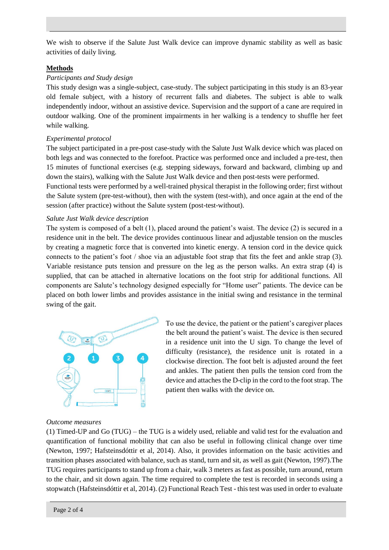We wish to observe if the Salute Just Walk device can improve dynamic stability as well as basic activities of daily living.

## **Methods**

#### *Participants and Study design*

This study design was a single-subject, case-study. The subject participating in this study is an 83-year old female subject, with a history of recurrent falls and diabetes. The subject is able to walk independently indoor, without an assistive device. Supervision and the support of a cane are required in outdoor walking. One of the prominent impairments in her walking is a tendency to shuffle her feet while walking.

## *Experimental protocol*

The subject participated in a pre-post case-study with the Salute Just Walk device which was placed on both legs and was connected to the forefoot. Practice was performed once and included a pre-test, then 15 minutes of functional exercises (e.g. stepping sideways, forward and backward, climbing up and down the stairs), walking with the Salute Just Walk device and then post-tests were performed.

Functional tests were performed by a well-trained physical therapist in the following order; first without the Salute system (pre-test-without), then with the system (test-with), and once again at the end of the session (after practice) without the Salute system (post-test-without).

#### *Salute Just Walk device description*

The system is composed of a belt (1), placed around the patient's waist. The device (2) is secured in a residence unit in the belt. The device provides continuous linear and adjustable tension on the muscles by creating a magnetic force that is converted into kinetic energy. A tension cord in the device quick connects to the patient's foot / shoe via an adjustable foot strap that fits the feet and ankle strap (3). Variable resistance puts tension and pressure on the leg as the person walks. An extra strap (4) is supplied, that can be attached in alternative locations on the foot strip for additional functions. All components are Salute's technology designed especially for "Home user" patients. The device can be placed on both lower limbs and provides assistance in the initial swing and resistance in the terminal swing of the gait.



To use the device, the patient or the patient's caregiver places the belt around the patient's waist. The device is then secured in a residence unit into the U sign. To change the level of difficulty (resistance), the residence unit is rotated in a clockwise direction. The foot belt is adjusted around the feet and ankles. The patient then pulls the tension cord from the device and attaches the D-clip in the cord to the foot strap. The patient then walks with the device on.

#### *Outcome measures*

(1) Timed-UP and Go (TUG) – the TUG is a widely used, reliable and valid test for the evaluation and quantification of functional mobility that can also be useful in following clinical change over time (Newton, 1997; Hafsteinsdóttir et al, 2014). Also, it provides information on the basic activities and transition phases associated with balance, such as stand, turn and sit, as well as gait (Newton, 1997).The TUG requires participants to stand up from a chair, walk 3 meters as fast as possible, turn around, return to the chair, and sit down again. The time required to complete the test is recorded in seconds using a stopwatch (Hafsteinsdóttir et al, 2014). (2) Functional Reach Test - this test was used in order to evaluate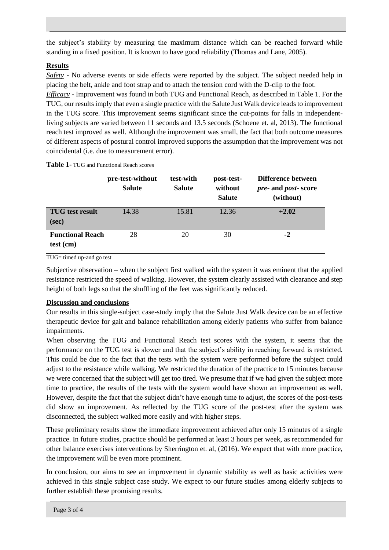the subject's stability by measuring the maximum distance which can be reached forward while standing in a fixed position. It is known to have good reliability (Thomas and Lane, 2005).

# **Results**

*Safety* - No adverse events or side effects were reported by the subject. The subject needed help in placing the belt, ankle and foot strap and to attach the tension cord with the D-clip to the foot.

*Efficacy -* Improvement was found in both TUG and Functional Reach, as described in Table 1. For the TUG, our results imply that even a single practice with the Salute Just Walk device leads to improvement in the TUG score. This improvement seems significant since the cut-points for falls in independentliving subjects are varied between 11 seconds and 13.5 seconds (Schoene et. al, 2013). The functional reach test improved as well. Although the improvement was small, the fact that both outcome measures of different aspects of postural control improved supports the assumption that the improvement was not coincidental (i.e. due to measurement error).

|                                      | pre-test-without<br><b>Salute</b> | test-with<br><b>Salute</b> | post-test-<br>without<br><b>Salute</b> | Difference between<br><i>pre-</i> and <i>post-</i> score<br>(without) |
|--------------------------------------|-----------------------------------|----------------------------|----------------------------------------|-----------------------------------------------------------------------|
| <b>TUG</b> test result<br>(sec)      | 14.38                             | 15.81                      | 12.36                                  | $+2.02$                                                               |
| <b>Functional Reach</b><br>test (cm) | 28                                | 20                         | 30                                     | $-2$                                                                  |

**Table 1-** TUG and Functional Reach scores

TUG= timed up-and go test

Subjective observation – when the subject first walked with the system it was eminent that the applied resistance restricted the speed of walking. However, the system clearly assisted with clearance and step height of both legs so that the shuffling of the feet was significantly reduced.

## **Discussion and conclusions**

Our results in this single-subject case-study imply that the Salute Just Walk device can be an effective therapeutic device for gait and balance rehabilitation among elderly patients who suffer from balance impairments.

When observing the TUG and Functional Reach test scores with the system, it seems that the performance on the TUG test is slower and that the subject's ability in reaching forward is restricted. This could be due to the fact that the tests with the system were performed before the subject could adjust to the resistance while walking. We restricted the duration of the practice to 15 minutes because we were concerned that the subject will get too tired. We presume that if we had given the subject more time to practice, the results of the tests with the system would have shown an improvement as well. However, despite the fact that the subject didn't have enough time to adjust, the scores of the post-tests did show an improvement. As reflected by the TUG score of the post-test after the system was disconnected, the subject walked more easily and with higher steps.

These preliminary results show the immediate improvement achieved after only 15 minutes of a single practice. In future studies, practice should be performed at least 3 hours per week, as recommended for other balance exercises interventions by Sherrington et. al, (2016). We expect that with more practice, the improvement will be even more prominent.

In conclusion, our aims to see an improvement in dynamic stability as well as basic activities were achieved in this single subject case study. We expect to our future studies among elderly subjects to further establish these promising results.